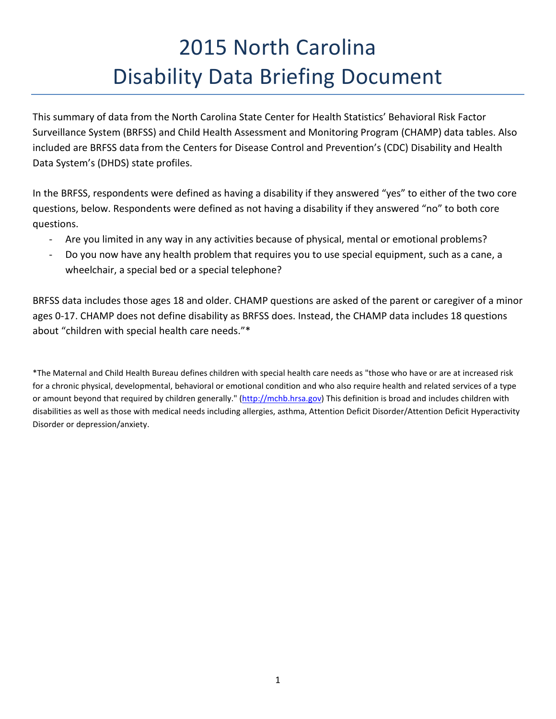# 2015 North Carolina Disability Data Briefing Document

This summary of data from the North Carolina State Center for Health Statistics' Behavioral Risk Factor Surveillance System (BRFSS) and Child Health Assessment and Monitoring Program (CHAMP) data tables. Also included are BRFSS data from the Centers for Disease Control and Prevention's (CDC) Disability and Health Data System's (DHDS) state profiles.

In the BRFSS, respondents were defined as having a disability if they answered "yes" to either of the two core questions, below. Respondents were defined as not having a disability if they answered "no" to both core questions.

- Are you limited in any way in any activities because of physical, mental or emotional problems?
- Do you now have any health problem that requires you to use special equipment, such as a cane, a wheelchair, a special bed or a special telephone?

BRFSS data includes those ages 18 and older. CHAMP questions are asked of the parent or caregiver of a minor ages 0-17. CHAMP does not define disability as BRFSS does. Instead, the CHAMP data includes 18 questions about "children with special health care needs."\*

\*The Maternal and Child Health Bureau defines children with special health care needs as "those who have or are at increased risk for a chronic physical, developmental, behavioral or emotional condition and who also require health and related services of a type or amount beyond that required by children generally." [\(http://mchb.hrsa.gov\)](http://mchb.hrsa.gov/) This definition is broad and includes children with disabilities as well as those with medical needs including allergies, asthma, Attention Deficit Disorder/Attention Deficit Hyperactivity Disorder or depression/anxiety.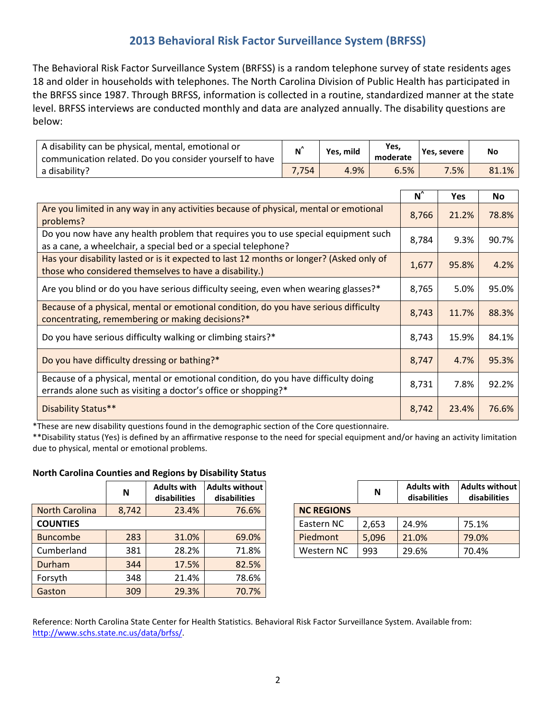# **2013 Behavioral Risk Factor Surveillance System (BRFSS)**

The Behavioral Risk Factor Surveillance System (BRFSS) is a random telephone survey of state residents ages 18 and older in households with telephones. The North Carolina Division of Public Health has participated in the BRFSS since 1987. Through BRFSS, information is collected in a routine, standardized manner at the state level. BRFSS interviews are conducted monthly and data are analyzed annually. The disability questions are below:

| A disability can be physical, mental, emotional or<br>communication related. Do you consider yourself to have | N     | Yes. mild | Yes,<br>moderate | Yes, severe | No    |
|---------------------------------------------------------------------------------------------------------------|-------|-----------|------------------|-------------|-------|
| a disability?                                                                                                 | 754.' | 4.9%      | 6.5%             | $7.5\%$     | 81.1% |

|                                                                                                                                                      | $\mathsf{N}^{\wedge}$ | <b>Yes</b> | <b>No</b> |
|------------------------------------------------------------------------------------------------------------------------------------------------------|-----------------------|------------|-----------|
| Are you limited in any way in any activities because of physical, mental or emotional<br>problems?                                                   | 8,766                 | 21.2%      | 78.8%     |
| Do you now have any health problem that requires you to use special equipment such<br>as a cane, a wheelchair, a special bed or a special telephone? | 8,784                 | 9.3%       | 90.7%     |
| Has your disability lasted or is it expected to last 12 months or longer? (Asked only of<br>those who considered themselves to have a disability.)   | 1,677                 | 95.8%      | 4.2%      |
| Are you blind or do you have serious difficulty seeing, even when wearing glasses?*                                                                  | 8,765                 | 5.0%       | 95.0%     |
| Because of a physical, mental or emotional condition, do you have serious difficulty<br>concentrating, remembering or making decisions?*             | 8,743                 | 11.7%      | 88.3%     |
| Do you have serious difficulty walking or climbing stairs?*                                                                                          | 8,743                 | 15.9%      | 84.1%     |
| Do you have difficulty dressing or bathing?*                                                                                                         | 8,747                 | 4.7%       | 95.3%     |
| Because of a physical, mental or emotional condition, do you have difficulty doing<br>errands alone such as visiting a doctor's office or shopping?* | 8,731                 | 7.8%       | 92.2%     |
| Disability Status**                                                                                                                                  | 8,742                 | 23.4%      | 76.6%     |

\*These are new disability questions found in the demographic section of the Core questionnaire.

\*\*Disability status (Yes) is defined by an affirmative response to the need for special equipment and/or having an activity limitation due to physical, mental or emotional problems.

## **North Carolina Counties and Regions by Disability Status**

|                       | N     | <b>Adults with</b><br>disabilities | <b>Adults without</b><br>disabilities |
|-----------------------|-------|------------------------------------|---------------------------------------|
| <b>North Carolina</b> | 8,742 | 23.4%                              | 76.6%                                 |
| <b>COUNTIES</b>       |       |                                    |                                       |
| <b>Buncombe</b>       | 283   | 31.0%                              | 69.0%                                 |
| Cumberland            | 381   | 28.2%                              | 71.8%                                 |
| Durham                | 344   | 17.5%                              | 82.5%                                 |
| Forsyth               | 348   | 21.4%                              | 78.6%                                 |
| Gaston                | 309   | 29.3%                              | 70.7%                                 |

|                   | N     | <b>Adults with</b><br>disabilities | <b>Adults without</b><br>disabilities |
|-------------------|-------|------------------------------------|---------------------------------------|
| <b>NC REGIONS</b> |       |                                    |                                       |
| Eastern NC        | 2,653 | 24.9%                              | 75.1%                                 |
| Piedmont          | 5,096 | 21.0%                              | 79.0%                                 |
| Western NC        | 993   | 29.6%                              | 70.4%                                 |

Reference: North Carolina State Center for Health Statistics. Behavioral Risk Factor Surveillance System. Available from: [http://www.schs.state.nc.us/data/brfss/.](http://www.schs.state.nc.us/data/brfss/)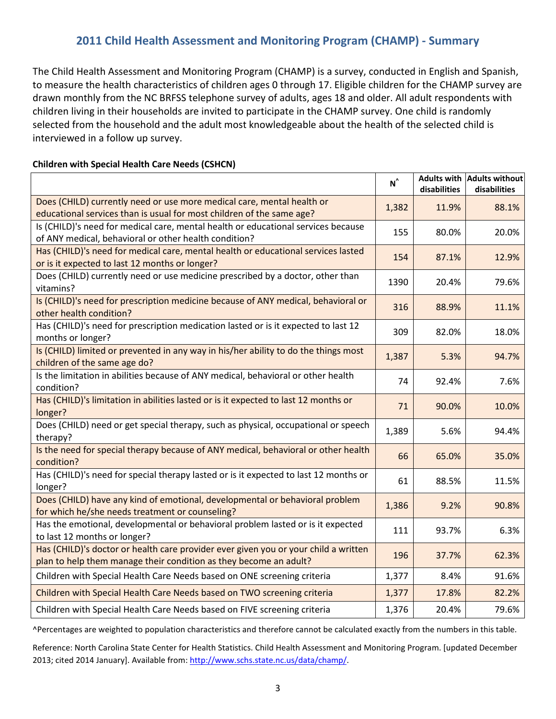# **2011 Child Health Assessment and Monitoring Program (CHAMP) - Summary**

The Child Health Assessment and Monitoring Program (CHAMP) is a survey, conducted in English and Spanish, to measure the health characteristics of children ages 0 through 17. Eligible children for the CHAMP survey are drawn monthly from the NC BRFSS telephone survey of adults, ages 18 and older. All adult respondents with children living in their households are invited to participate in the CHAMP survey. One child is randomly selected from the household and the adult most knowledgeable about the health of the selected child is interviewed in a follow up survey.

# **Children with Special Health Care Needs (CSHCN)**

|                                                                                                                                                          | $N^{\wedge}$ | disabilities | Adults with Adults without<br>disabilities |
|----------------------------------------------------------------------------------------------------------------------------------------------------------|--------------|--------------|--------------------------------------------|
| Does (CHILD) currently need or use more medical care, mental health or<br>educational services than is usual for most children of the same age?          | 1,382        | 11.9%        | 88.1%                                      |
| Is (CHILD)'s need for medical care, mental health or educational services because<br>of ANY medical, behavioral or other health condition?               | 155          | 80.0%        | 20.0%                                      |
| Has (CHILD)'s need for medical care, mental health or educational services lasted<br>or is it expected to last 12 months or longer?                      | 154          | 87.1%        | 12.9%                                      |
| Does (CHILD) currently need or use medicine prescribed by a doctor, other than<br>vitamins?                                                              | 1390         | 20.4%        | 79.6%                                      |
| Is (CHILD)'s need for prescription medicine because of ANY medical, behavioral or<br>other health condition?                                             | 316          | 88.9%        | 11.1%                                      |
| Has (CHILD)'s need for prescription medication lasted or is it expected to last 12<br>months or longer?                                                  | 309          | 82.0%        | 18.0%                                      |
| Is (CHILD) limited or prevented in any way in his/her ability to do the things most<br>children of the same age do?                                      | 1,387        | 5.3%         | 94.7%                                      |
| Is the limitation in abilities because of ANY medical, behavioral or other health<br>condition?                                                          | 74           | 92.4%        | 7.6%                                       |
| Has (CHILD)'s limitation in abilities lasted or is it expected to last 12 months or<br>longer?                                                           | 71           | 90.0%        | 10.0%                                      |
| Does (CHILD) need or get special therapy, such as physical, occupational or speech<br>therapy?                                                           | 1,389        | 5.6%         | 94.4%                                      |
| Is the need for special therapy because of ANY medical, behavioral or other health<br>condition?                                                         | 66           | 65.0%        | 35.0%                                      |
| Has (CHILD)'s need for special therapy lasted or is it expected to last 12 months or<br>longer?                                                          | 61           | 88.5%        | 11.5%                                      |
| Does (CHILD) have any kind of emotional, developmental or behavioral problem<br>for which he/she needs treatment or counseling?                          | 1,386        | 9.2%         | 90.8%                                      |
| Has the emotional, developmental or behavioral problem lasted or is it expected<br>to last 12 months or longer?                                          | 111          | 93.7%        | 6.3%                                       |
| Has (CHILD)'s doctor or health care provider ever given you or your child a written<br>plan to help them manage their condition as they become an adult? | 196          | 37.7%        | 62.3%                                      |
| Children with Special Health Care Needs based on ONE screening criteria                                                                                  | 1,377        | 8.4%         | 91.6%                                      |
| Children with Special Health Care Needs based on TWO screening criteria                                                                                  | 1,377        | 17.8%        | 82.2%                                      |
| Children with Special Health Care Needs based on FIVE screening criteria                                                                                 | 1,376        | 20.4%        | 79.6%                                      |

^Percentages are weighted to population characteristics and therefore cannot be calculated exactly from the numbers in this table.

Reference: North Carolina State Center for Health Statistics. Child Health Assessment and Monitoring Program. [updated December 2013; cited 2014 January]. Available from: [http://www.schs.state.nc.us/data/champ/.](http://www.schs.state.nc.us/data/champ/)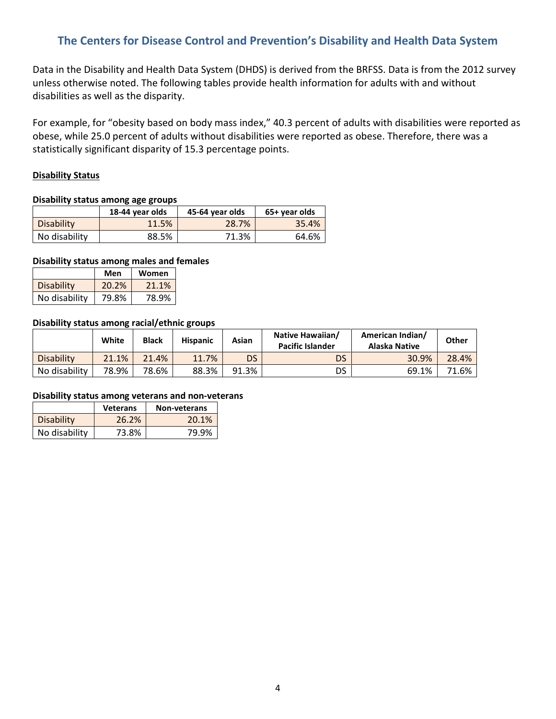# **The Centers for Disease Control and Prevention's Disability and Health Data System**

Data in the Disability and Health Data System (DHDS) is derived from the BRFSS. Data is from the 2012 survey unless otherwise noted. The following tables provide health information for adults with and without disabilities as well as the disparity.

For example, for "obesity based on body mass index," 40.3 percent of adults with disabilities were reported as obese, while 25.0 percent of adults without disabilities were reported as obese. Therefore, there was a statistically significant disparity of 15.3 percentage points.

## **Disability Status**

## **Disability status among age groups**

|                   | 18-44 year olds | 45-64 year olds | 65+ year olds |
|-------------------|-----------------|-----------------|---------------|
| <b>Disability</b> | 11.5%           | 28.7%           | 35.4%         |
| No disability     | 88.5%           | 71.3%           | 64.6%         |

#### **Disability status among males and females**

|                   | Men   | Women |
|-------------------|-------|-------|
| <b>Disability</b> | 20.2% | 21.1% |
| No disability     | 79.8% | 78.9% |

#### **Disability status among racial/ethnic groups**

|                   | White | <b>Black</b> | <b>Hispanic</b> | Asian | <b>Native Hawaiian/</b><br><b>Pacific Islander</b> | American Indian/<br>Alaska Native | Other |
|-------------------|-------|--------------|-----------------|-------|----------------------------------------------------|-----------------------------------|-------|
| <b>Disability</b> | 21.1% | 21.4%        | 11.7%           | DS    | DS                                                 | 30.9%                             | 28.4% |
| No disability     | 78.9% | 78.6%        | 88.3%           | 91.3% | DS                                                 | 69.1%                             | 71.6% |

#### **Disability status among veterans and non-veterans**

|                   | <b>Veterans</b> | Non-veterans |
|-------------------|-----------------|--------------|
| <b>Disability</b> | 26.2%           | 20.1%        |
| No disability     | 73.8%           | 79.9%        |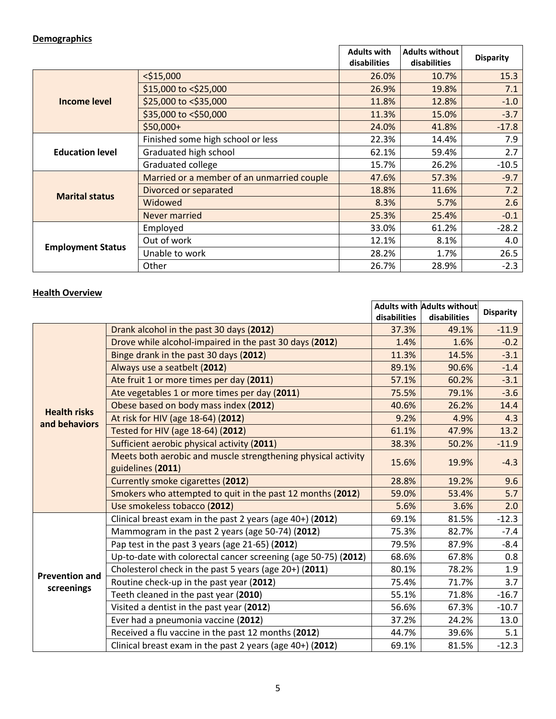|                          |                                            | <b>Adults with</b><br>disabilities | <b>Adults without</b><br>disabilities | <b>Disparity</b> |
|--------------------------|--------------------------------------------|------------------------------------|---------------------------------------|------------------|
|                          | $<$ \$15,000                               | 26.0%                              | 10.7%                                 | 15.3             |
|                          | \$15,000 to <\$25,000                      | 26.9%                              | 19.8%                                 | 7.1              |
| <b>Income level</b>      | \$25,000 to <\$35,000                      | 11.8%                              | 12.8%                                 | $-1.0$           |
|                          | \$35,000 to <\$50,000                      | 11.3%                              | 15.0%                                 | $-3.7$           |
|                          | \$50,000+                                  | 24.0%                              | 41.8%                                 | $-17.8$          |
|                          | Finished some high school or less          | 22.3%                              | 14.4%                                 | 7.9              |
| <b>Education level</b>   | Graduated high school                      | 62.1%                              | 59.4%                                 | 2.7              |
|                          | Graduated college                          | 15.7%                              | 26.2%                                 | $-10.5$          |
|                          | Married or a member of an unmarried couple | 47.6%                              | 57.3%                                 | $-9.7$           |
| <b>Marital status</b>    | Divorced or separated                      | 18.8%                              | 11.6%                                 | 7.2              |
|                          | Widowed                                    | 8.3%                               | 5.7%                                  | 2.6              |
|                          | <b>Never married</b>                       | 25.3%                              | 25.4%                                 | $-0.1$           |
| <b>Employment Status</b> | Employed                                   | 33.0%                              | 61.2%                                 | $-28.2$          |
|                          | Out of work                                | 12.1%                              | 8.1%                                  | 4.0              |
|                          | Unable to work                             | 28.2%                              | 1.7%                                  | 26.5             |
|                          | Other                                      | 26.7%                              | 28.9%                                 | $-2.3$           |

# **Health Overview**

|                       |                                                                                    |              | Adults with Adults without | <b>Disparity</b> |
|-----------------------|------------------------------------------------------------------------------------|--------------|----------------------------|------------------|
|                       |                                                                                    | disabilities | disabilities               |                  |
|                       | Drank alcohol in the past 30 days (2012)                                           | 37.3%        | 49.1%                      | $-11.9$          |
|                       | Drove while alcohol-impaired in the past 30 days (2012)                            | 1.4%         | 1.6%                       | $-0.2$           |
|                       | Binge drank in the past 30 days (2012)                                             | 11.3%        | 14.5%                      | $-3.1$           |
|                       | Always use a seatbelt (2012)                                                       | 89.1%        | 90.6%                      | $-1.4$           |
|                       | Ate fruit 1 or more times per day (2011)                                           | 57.1%        | 60.2%                      | $-3.1$           |
|                       | Ate vegetables 1 or more times per day (2011)                                      | 75.5%        | 79.1%                      | $-3.6$           |
| <b>Health risks</b>   | Obese based on body mass index (2012)                                              | 40.6%        | 26.2%                      | 14.4             |
| and behaviors         | At risk for HIV (age 18-64) (2012)                                                 | 9.2%         | 4.9%                       | 4.3              |
|                       | Tested for HIV (age 18-64) (2012)                                                  | 61.1%        | 47.9%                      | 13.2             |
|                       | Sufficient aerobic physical activity (2011)                                        | 38.3%        | 50.2%                      | $-11.9$          |
|                       | Meets both aerobic and muscle strengthening physical activity<br>guidelines (2011) | 15.6%        | 19.9%                      | $-4.3$           |
|                       | Currently smoke cigarettes (2012)                                                  | 28.8%        | 19.2%                      | 9.6              |
|                       | Smokers who attempted to quit in the past 12 months (2012)                         | 59.0%        | 53.4%                      | 5.7              |
|                       | Use smokeless tobacco (2012)                                                       | 5.6%         | 3.6%                       | 2.0              |
|                       | Clinical breast exam in the past 2 years (age 40+) (2012)                          | 69.1%        | 81.5%                      | $-12.3$          |
|                       | Mammogram in the past 2 years (age 50-74) (2012)                                   | 75.3%        | 82.7%                      | $-7.4$           |
|                       | Pap test in the past 3 years (age 21-65) (2012)                                    | 79.5%        | 87.9%                      | $-8.4$           |
|                       | Up-to-date with colorectal cancer screening (age 50-75) (2012)                     | 68.6%        | 67.8%                      | 0.8              |
| <b>Prevention and</b> | Cholesterol check in the past 5 years (age 20+) (2011)                             | 80.1%        | 78.2%                      | 1.9              |
|                       | Routine check-up in the past year (2012)                                           | 75.4%        | 71.7%                      | 3.7              |
| screenings            | Teeth cleaned in the past year (2010)                                              | 55.1%        | 71.8%                      | $-16.7$          |
|                       | Visited a dentist in the past year (2012)                                          | 56.6%        | 67.3%                      | $-10.7$          |
|                       | Ever had a pneumonia vaccine (2012)                                                | 37.2%        | 24.2%                      | 13.0             |
|                       | Received a flu vaccine in the past 12 months (2012)                                | 44.7%        | 39.6%                      | 5.1              |
|                       | Clinical breast exam in the past 2 years (age 40+) (2012)                          | 69.1%        | 81.5%                      | $-12.3$          |